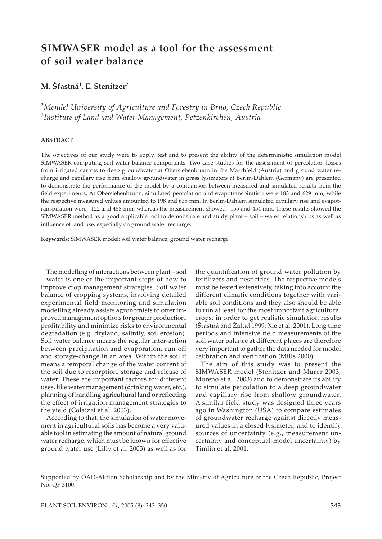# **SIMWASER model as a tool for the assessment of soil water balance**

## **M. Šťastná1, E. Stenitzer2**

*1Mendel University of Agriculture and Forestry in Brno, Czech Republic 2Institute of Land and Water Management, Petzenkirchen, Austria*

## **ABSTRACT**

The objectives of our study were to apply, test and to present the ability of the deterministic simulation model SIMWASER computing soil-water balance components. Two case studies for the assessment of percolation losses from irrigated carrots to deep groundwater at Obersiebenbrunn in the Marchfeld (Austria) and ground water recharge and capillary rise from shallow groundwater in grass lysimeters at Berlin-Dahlem (Germany) are presented to demonstrate the performance of the model by a comparison between measured and simulated results from the field experiments. At Obersiebenbrunn, simulated percolation and evapotranspiration were 183 and 629 mm, while the respective measured values amounted to 198 and 635 mm. In Berlin-Dahlem simulated capillary rise and evapotranspiration were –122 and 458 mm, whereas the measurement showed –155 and 454 mm. These results showed the SIMWASER method as a good applicable tool to demonstrate and study plant – soil – water relationships as well as influence of land use, especially on ground water recharge.

**Keywords:** SIMWASER model; soil water balance; ground water recharge

The modelling of interactions between plant – soil – water is one of the important steps of how to improve crop management strategies. Soil water balance of cropping systems, involving detailed experimental field monitoring and simulation modelling already assists agronomists to offer improved management options for greater production, profitability and minimize risks to environmental degradation (e.g. dryland, salinity, soil erosion). Soil water balance means the regular inter-action between precipitation and evaporation, run-off and storage-change in an area. Within the soil it means a temporal change of the water content of the soil due to resorption, storage and release of water. These are important factors for different uses, like water management (drinking water, etc.), planning of handling agricultural land or reflecting the effect of irrigation management strategies to the yield (Colaizzi et al. 2003).

According to that, the simulation of water movement in agricultural soils has become a very valuable tool in estimating the amount of natural ground water recharge, which must be known for effective ground water use (Lilly et al. 2003) as well as for

the quantification of ground water pollution by fertilizers and pesticides. The respective models must be tested extensively, taking into account the different climatic conditions together with variable soil conditions and they also should be able to run at least for the most important agricultural crops, in order to get realistic simulation results (Šťastná and Žalud 1999, Xie et al. 2001). Long time periods and intensive field measurements of the soil water balance at different places are therefore very important to gather the data needed for model calibration and verification (Mills 2000).

The aim of this study was to present the SIMWASER model (Stenitzer and Murer 2003, Moreno et al. 2003) and to demonstrate its ability to simulate percolation to a deep groundwater and capillary rise from shallow groundwater. A similar field study was designed three years ago in Washington (USA) to compare estimates of groundwater recharge against directly measured values in a closed lysimeter, and to identify sources of uncertainty (e.g., measurement uncertainty and conceptual-model uncertainty) by Timlin et al. 2001.

Supported by ÖAD-Aktion Scholarship and by the Ministry of Agriculture of the Czech Republic, Project No. QF 3100.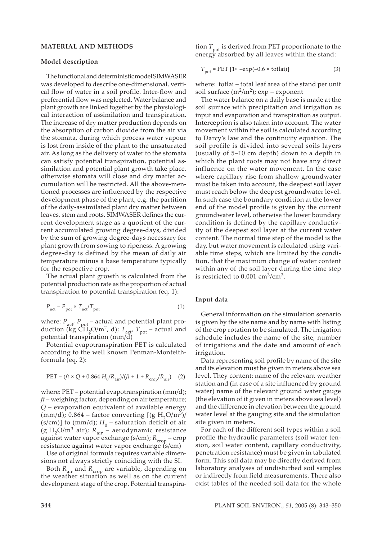### **MATERIAL AND METHODS**

#### **Model description**

The functional and deterministic model SIMWASER was developed to describe one-dimensional, vertical flow of water in a soil profile. Inter-flow and preferential flow was neglected. Water balance and plant growth are linked together by the physiological interaction of assimilation and transpiration. The increase of dry matter production depends on the absorption of carbon dioxide from the air via the stomata, during which process water vapour is lost from inside of the plant to the unsaturated air. As long as the delivery of water to the stomata can satisfy potential transpiration, potential assimilation and potential plant growth take place, otherwise stomata will close and dry matter accumulation will be restricted. All the above-mentioned processes are influenced by the respective development phase of the plant, e.g. the partition of the daily-assimilated plant dry matter between leaves, stem and roots. SIMWASER defines the current development stage as a quotient of the current accumulated growing degree-days, divided by the sum of growing degree-days necessary for plant growth from sowing to ripeness. A growing degree-day is defined by the mean of daily air temperature minus a base temperature typically for the respective crop.

The actual plant growth is calculated from the potential production rate as the proportion of actual transpiration to potential transpiration (eq. 1):

$$
P_{\text{act}} = P_{\text{pot}} \times T_{\text{act}} / T_{\text{pot}}
$$
 (1)

where:  $P_{\text{act}}$ ,  $P_{\text{pot}}$  – actual and potential plant production ( $\chi$ g CH<sub>2</sub>O/m<sup>2</sup>, d);  $T_{\text{act}}$ ,  $T_{\text{pot}}$  – actual and potential transpiration (mm/d)

Potential evapotranspiration PET is calculated according to the well known Penman-Monteithformula (eq. 2):

$$
PET = (ft \times Q + 0.864 \ H_0/R_{\text{air}})/(ft + 1 + R_{\text{crop}}/R_{\text{air}}) \tag{2}
$$

where: PET – potential evapotranspiration (mm/d); *ft* – weighing factor, depending on air temperature; *Q* – evaporation equivalent of available energy (mm/d);  $0.864$  – factor converting  $[(g H<sub>2</sub>O/m<sup>3</sup>)/$ (s/cm)] to (mm/d);  $H_0$  – saturation deficit of air (g H<sub>2</sub>O/m<sup>3</sup> air);  $R_{\text{air}}$  – aerodynamic resistance against water vapor exchange (s/cm);  $R_{\text{crop}}$  – crop resistance against water vapor exchange (s/cm)

Use of original formula requires variable dimensions not always strictly coinciding with the SI.

Both  $R_{\text{air}}$  and  $R_{\text{crop}}$  are variable, depending on the weather situation as well as on the current development stage of the crop. Potential transpiration  $T_{\text{pot}}$  is derived from PET proportionate to the energy absorbed by all leaves within the stand:

$$
T_{\text{pot}} = \text{PET} \left[ 1 \times -\exp(-0.6 \times \text{total}) \right] \tag{3}
$$

where: totlai – total leaf area of the stand per unit soil surface  $(m^2/m^2)$ ; exp – exponent

The water balance on a daily base is made at the soil surface with precipitation and irrigation as input and evaporation and transpiration as output. Interception is also taken into account. The water movement within the soil is calculated according to Darcy's law and the continuity equation. The soil profile is divided into several soils layers (usually of 5–10 cm depth) down to a depth in which the plant roots may not have any direct influence on the water movement. In the case where capillary rise from shallow groundwater must be taken into account, the deepest soil layer must reach below the deepest groundwater level. In such case the boundary condition at the lower end of the model profile is given by the current groundwater level, otherwise the lower boundary condition is defined by the capillary conductivity of the deepest soil layer at the current water content. The normal time step of the model is the day, but water movement is calculated using variable time steps, which are limited by the condition, that the maximum change of water content within any of the soil layer during the time step is restricted to  $0.001 \text{ cm}^3/\text{cm}^3$ .

#### **Input data**

General information on the simulation scenario is given by the site name and by name with listing of the crop rotation to be simulated. The irrigation schedule includes the name of the site, number of irrigations and the date and amount of each irrigation.

Data representing soil profile by name of the site and its elevation must be given in meters above sea level. They content: name of the relevant weather station and (in case of a site influenced by ground water) name of the relevant ground water gauge (the elevation of it given in meters above sea level) and the difference in elevation between the ground water level at the gauging site and the simulation site given in meters.

For each of the different soil types within a soil profile the hydraulic parameters (soil water tension, soil water content, capillary conductivity, penetration resistance) must be given in tabulated form. This soil data may be directly derived from laboratory analyses of undisturbed soil samples or indirectly from field measurements. There also exist tables of the needed soil data for the whole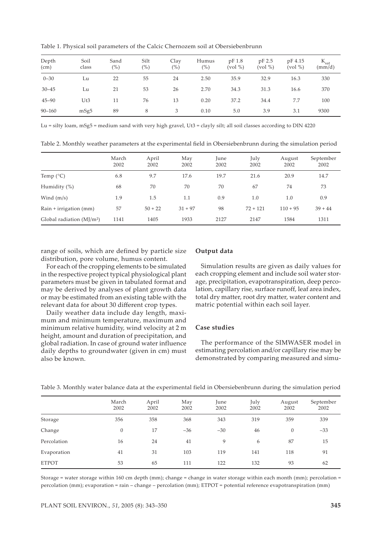| Depth<br>(cm) | Soil<br>class | Sand<br>$(\%)$ | Silt<br>$(\%)$ | Clay<br>(%) | Humus<br>$(\%)$ | pF 1.8<br>$\left(\text{vol}\, \% \right)$ | pF 2.5<br>$\left(\mathrm{vol}\, \%$ | pF 4.15<br>$\left(\text{vol}\, \% \right)$ | $K_{\text{sat}}$<br>$\text{(mm/d)}$ |
|---------------|---------------|----------------|----------------|-------------|-----------------|-------------------------------------------|-------------------------------------|--------------------------------------------|-------------------------------------|
| $0 - 30$      | Lu            | 22             | 55             | 24          | 2.50            | 35.9                                      | 32.9                                | 16.3                                       | 330                                 |
| $30 - 45$     | Lu            | 21             | 53             | 26          | 2.70            | 34.3                                      | 31.3                                | 16.6                                       | 370                                 |
| $45 - 90$     | Ut3           | 11             | 76             | 13          | 0.20            | 37.2                                      | 34.4                                | 7.7                                        | 100                                 |
| $90 - 160$    | mSg5          | 89             | 8              | 3           | 0.10            | 5.0                                       | 3.9                                 | 3.1                                        | 9300                                |

Table 1. Physical soil parameters of the Calcic Chernozem soil at Obersiebenbrunn

Lu = silty loam, mSg5 = medium sand with very high gravel, Ut3 = clayly silt; all soil classes according to DIN 4220

Table 2. Monthly weather parameters at the experimental field in Obersiebenbrunn during the simulation period

|                            | March<br>2002 | April<br>2002 | May<br>2002 | June<br>2002 | July<br>2002 | August<br>2002 | September<br>2002 |
|----------------------------|---------------|---------------|-------------|--------------|--------------|----------------|-------------------|
| Temp $(^{\circ}C)$         | 6.8           | 9.7           | 17.6        | 19.7         | 21.6         | 20.9           | 14.7              |
| Humidity (%)               | 68            | 70            | 70          | 70           | 67           | 74             | 73                |
| Wind $(m/s)$               | 1.9           | 1.5           | 1.1         | 0.9          | 1.0          | 1.0            | 0.9               |
| Rain + irrigation (mm)     | 57            | $50 + 22$     | $31 + 97$   | 98           | $72 + 121$   | $110 + 95$     | $39 + 44$         |
| Global radiation $(MJ/m2)$ | 1141          | 1405          | 1933        | 2127         | 2147         | 1584           | 1311              |

range of soils, which are defined by particle size distribution, pore volume, humus content.

For each of the cropping elements to be simulated in the respective project typical physiological plant parameters must be given in tabulated format and may be derived by analyses of plant growth data or may be estimated from an existing table with the relevant data for about 30 different crop types.

Daily weather data include day length, maximum and minimum temperature, maximum and minimum relative humidity, wind velocity at 2 m height, amount and duration of precipitation, and global radiation. In case of ground water influence daily depths to groundwater (given in cm) must also be known.

#### **Output data**

Simulation results are given as daily values for each cropping element and include soil water storage, precipitation, evapotranspiration, deep percolation, capillary rise, surface runoff, leaf area index, total dry matter, root dry matter, water content and matric potential within each soil layer.

## **Case studies**

The performance of the SIMWASER model in estimating percolation and/or capillary rise may be demonstrated by comparing measured and simu-

|              | March<br>2002 | April<br>2002 | May<br>2002 | June<br>2002 | July<br>2002 | August<br>2002 | September<br>2002 |
|--------------|---------------|---------------|-------------|--------------|--------------|----------------|-------------------|
| Storage      | 356           | 358           | 368         | 343          | 319          | 359            | 339               |
| Change       | $\theta$      | 17            | $-36$       | $-30$        | 46           | $\theta$       | $-33$             |
| Percolation  | 16            | 24            | 41          | 9            | 6            | 87             | 15                |
| Evaporation  | 41            | 31            | 103         | 119          | 141          | 118            | 91                |
| <b>ETPOT</b> | 53            | 65            | 111         | 122          | 132          | 93             | 62                |

Table 3. Monthly water balance data at the experimental field in Obersiebenbrunn during the simulation period

Storage = water storage within 160 cm depth (mm); change = change in water storage within each month (mm); percolation = percolation (mm); evaporation = rain – change – percolation (mm); ETPOT = potential reference evapotranspiration (mm)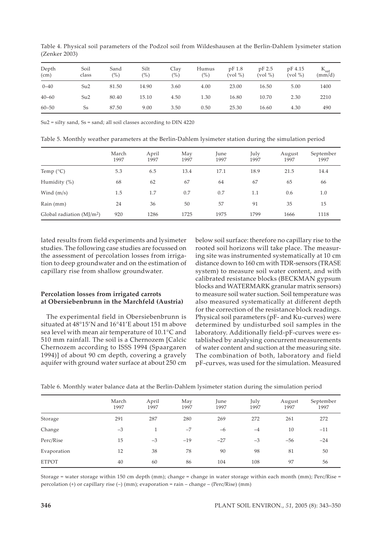| Depth<br>(cm) | Soil<br>class | Sand<br>(%) | Silt<br>$\left(\%\right)$ | Clav<br>(%) | Humus<br>(%) | pF 1.8<br>$\left(\text{vol}\, \frac{\%}{\%}\right)$ | pF 2.5<br>$\left(\mathrm{vol}\, \%$ | pF 4.15<br>$\left(\text{vol}\, \% \right)$ | $K_{\text{sat}}$<br>$\text{(mm/d)}$ |
|---------------|---------------|-------------|---------------------------|-------------|--------------|-----------------------------------------------------|-------------------------------------|--------------------------------------------|-------------------------------------|
| $0 - 40$      | Su2           | 81.50       | 14.90                     | 3.60        | 4.00         | 23.00                                               | 16.50                               | 5.00                                       | 1400                                |
| $40 - 60$     | Su2           | 80.40       | 15.10                     | 4.50        | 1.30         | 16.80                                               | 10.70                               | 2.30                                       | 2210                                |
| $60 - 50$     | Ss            | 87.50       | 9.00                      | 3.50        | 0.50         | 25.30                                               | 16.60                               | 4.30                                       | 490                                 |

Table 4. Physical soil parameters of the Podzol soil from Wildeshausen at the Berlin-Dahlem lysimeter station (Zenker 2003)

Su2 = silty sand, Ss = sand; all soil classes according to DIN 4220

Table 5. Monthly weather parameters at the Berlin-Dahlem lysimeter station during the simulation period

|                            | March<br>1997 | April<br>1997 | May<br>1997 | June<br>1997 | July<br>1997 | August<br>1997 | September<br>1997 |
|----------------------------|---------------|---------------|-------------|--------------|--------------|----------------|-------------------|
| Temp $(^{\circ}C)$         | 5.3           | 6.5           | 13.4        | 17.1         | 18.9         | 21.5           | 14.4              |
| Humidity $(\%)$            | 68            | 62            | 67          | 64           | 67           | 65             | 66                |
| Wind $(m/s)$               | 1.5           | 1.7           | 0.7         | 0.7          | 1.1          | 0.6            | 1.0               |
| Rain (mm)                  | 24            | 36            | 50          | 57           | 91           | 35             | 15                |
| Global radiation $(MJ/m2)$ | 920           | 1286          | 1725        | 1975         | 1799         | 1666           | 1118              |

lated results from field experiments and lysimeter studies. The following case studies are focussed on the assessment of percolation losses from irrigation to deep groundwater and on the estimation of capillary rise from shallow groundwater.

## **Percolation losses from irrigated carrots at Obersiebenbrunn in the Marchfeld (Austria)**

The experimental field in Obersiebenbrunn is situated at 48°15'N and 16°41'E about 151 m above sea level with mean air temperature of 10.1°C and 510 mm rainfall. The soil is a Chernozem [Calcic Chernozem according to ISSS 1994 (Spaargaren 1994)] of about 90 cm depth, covering a gravely aquifer with ground water surface at about 250 cm below soil surface: therefore no capillary rise to the rooted soil horizons will take place. The measuring site was instrumented systematically at 10 cm distance down to 160 cm with TDR-sensors (TRASE system) to measure soil water content, and with calibrated resistance blocks (BECKMAN gypsum blocks and WATERMARK granular matrix sensors) to measure soil water suction. Soil temperature was also measured systematically at different depth for the correction of the resistance block readings. Physical soil parameters (pF- and Ku-curves) were determined by undisturbed soil samples in the laboratory. Additionally field-pF-curves were established by analysing concurrent measurements of water content and suction at the measuring site. The combination of both, laboratory and field pF-curves, was used for the simulation. Measured

|              | March<br>1997 | April<br>1997 | May<br>1997 | June<br>1997 | July<br>1997 | August<br>1997 | September<br>1997 |
|--------------|---------------|---------------|-------------|--------------|--------------|----------------|-------------------|
| Storage      | 291           | 287           | 280         | 269          | 272          | 261            | 272               |
| Change       | $-3$          |               | $-7$        | $-6$         | $-4$         | 10             | $-11$             |
| Perc/Rise    | 15            | $-3$          | $-19$       | $-27$        | $-3$         | $-56$          | $-24$             |
| Evaporation  | 12            | 38            | 78          | 90           | 98           | 81             | 50                |
| <b>ETPOT</b> | 40            | 60            | 86          | 104          | 108          | 97             | 56                |

Table 6. Monthly water balance data at the Berlin-Dahlem lysimeter station during the simulation period

Storage = water storage within 150 cm depth (mm); change = change in water storage within each month (mm); Perc/Rise = percolation (+) or capillary rise (–) (mm); evaporation = rain – change – (Perc/Rise) (mm)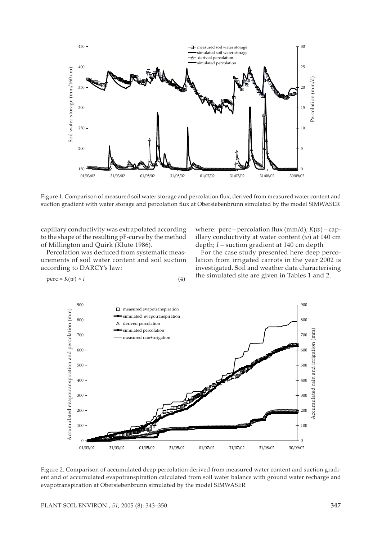

Figure 1. Comparison of measured soil water storage and percolation flux, derived from measured water content and suction gradient with water storage and percolation flux at Obersiebenbrunn simulated by the model SIMWASER

capillary conductivity was extrapolated according to the shape of the resulting pF-curve by the method of Millington and Quirk (Klute 1986).

Percolation was deduced from systematic measurements of soil water content and soil suction according to DARCY's law:

$$
perc = K(w) \times I \tag{4}
$$

where:  $perc - percolation flux (mm/d); K(w) - cap$ illary conductivity at water content (*w*) at 140 cm depth; *I* – suction gradient at 140 cm depth

For the case study presented here deep percolation from irrigated carrots in the year 2002 is investigated. Soil and weather data characterising the simulated site are given in Tables 1 and 2.



Figure 2. Comparison of accumulated deep percolation derived from measured water content and suction gradient and of accumulated evapotranspiration calculated from soil water balance with ground water recharge and evapotranspiration at Obersiebenbrunn simulated by the model SIMWASER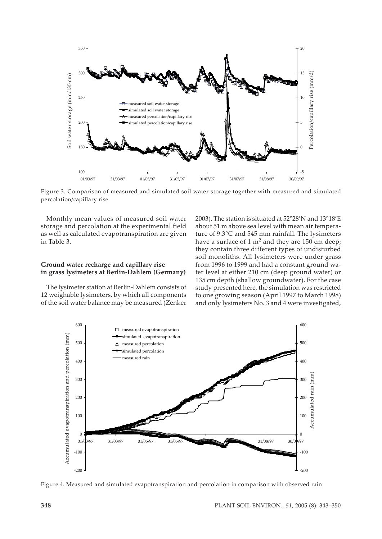

Figure 3. Comparison of measured and simulated soil water storage together with measured and simulated

Monthly mean values of measured soil water storage and percolation at the experimental field as well as calculated evapotranspiration are given in Table 3.

## **Ground water recharge and capillary rise in grass lysimeters at Berlin-Dahlem (Germany)**

The lysimeter station at Berlin-Dahlem consists of 12 weighable lysimeters, by which all components of the soil water balance may be measured (Zenker 2003). The station is situated at 52°28'N and 13°18'E about 51 m above sea level with mean air temperature of 9.3°C and 545 mm rainfall. The lysimeters have a surface of 1  $m<sup>2</sup>$  and they are 150 cm deep; they contain three different types of undisturbed soil monoliths. All lysimeters were under grass from 1996 to 1999 and had a constant ground water level at either 210 cm (deep ground water) or 135 cm depth (shallow groundwater). For the case study presented here, the simulation was restricted to one growing season (April 1997 to March 1998) and only lysimeters No. 3 and 4 were investigated,



Figure 4. Measured and simulated evapotranspiration and percolation in comparison with observed rain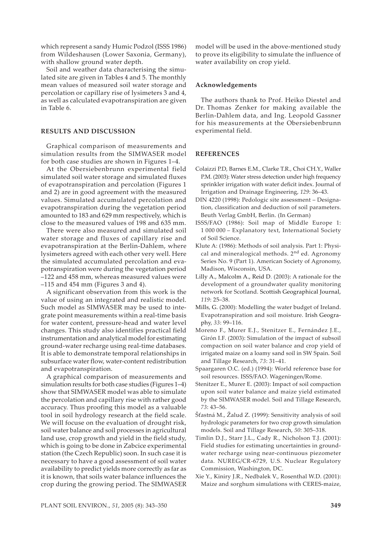which represent a sandy Humic Podzol (ISSS 1986) from Wildeshausen (Lower Saxonia, Germany), with shallow ground water depth.

Soil and weather data characterising the simulated site are given in Tables 4 and 5. The monthly mean values of measured soil water storage and percolation or capillary rise of lysimeters 3 and 4, as well as calculated evapotranspiration are given in Table 6.

#### **RESULTS AND DISCUSSION**

Graphical comparison of measurements and simulation results from the SIMWASER model for both case studies are shown in Figures 1–4.

At the Obersiebenbrunn experimental field simulated soil water storage and simulated fluxes of evapotranspiration and percolation (Figures 1 and 2) are in good agreement with the measured values. Simulated accumulated percolation and evapotranspiration during the vegetation period amounted to 183 and 629 mm respectively, which is close to the measured values of 198 and 635 mm.

There were also measured and simulated soil water storage and fluxes of capillary rise and evapotranspiration at the Berlin-Dahlem, where lysimeters agreed with each other very well. Here the simulated accumulated percolation and evapotranspiration were during the vegetation period –122 and 458 mm, whereas measured values were –115 and 454 mm (Figures 3 and 4).

A significant observation from this work is the value of using an integrated and realistic model. Such model as SIMWASER may be used to integrate point measurements within a real-time basis for water content, pressure-head and water level changes. This study also identifies practical field instrumentation and analytical model for estimating ground-water recharge using real-time databases. It is able to demonstrate temporal relationships in subsurface water flow, water-content redistribution and evapotranspiration.

A graphical comparison of measurements and simulation results for both case studies (Figures 1–4) show that SIMWASER model was able to simulate the percolation and capillary rise with rather good accuracy. Thus proofing this model as a valuable tool in soil hydrology research at the field scale. We will focuse on the evaluation of drought risk, soil water balance and soil processes in agricultural land use, crop growth and yield in the field study, which is going to be done in Zabcice experimental station (the Czech Republic) soon. In such case it is necessary to have a good assessment of soil water availability to predict yields more correctly as far as it is known, that soils water balance influences the crop during the growing period. The SIMWASER model will be used in the above-mentioned study to prove its eligibility to simulate the influence of water availability on crop yield.

#### **Acknowledgements**

The authors thank to Prof. Heiko Diestel and Dr. Thomas Zenker for making available the Berlin-Dahlem data, and Ing. Leopold Gassner for his measurements at the Obersiebenbrunn experimental field.

## **REFERENCES**

- Colaizzi P.D, Barnes E.M., Clarke T.R., Choi CH.Y., Waller P.M. (2003): Water stress detection under high frequency sprinkler irrigation with water deficit index. Journal of Irrigation and Drainage Engineering, *129*: 36–43.
- DIN 4220 (1998): Pedologic site assessment Designation, classification and deduction of soil parameters. Beuth Verlag GmbH, Berlin. (In German)
- ISSS/FAO (1986): Soil map of Middle Europe 1: 1 000 000 – Explanatory text, International Society of Soil Science.
- Klute A: (1986): Methods of soil analysis. Part 1: Physical and mineralogical methods. 2<sup>nd</sup> ed. Agronomy Series No. 9 (Part 1). American Society of Agronomy, Madison, Wisconsin, USA.
- Lilly A., Malcolm A., Reid D. (2003): A rationale for the development of a groundwater quality monitoring network for Scotland. Scottish Geographical Journal, *119*: 25–38.
- Mills, G. (2000): Modelling the water budget of Ireland. Evapotranspiration and soil moisture. Irish Geography, *33*: 99–116.
- Moreno F., Murer E.J., Stenitzer E., Fernández J.E., Girón I.F. (2003): Simulation of the impact of subsoil compaction on soil water balance and crop yield of irrigated maize on a loamy sand soil in SW Spain. Soil and Tillage Research, *73*: 31–41.
- Spaargaren O.C. (ed.) (1994): World reference base for soil resources. ISSS/FAO. Wageningen/Rome.
- Stenitzer E., Murer E. (2003): Impact of soil compaction upon soil water balance and maize yield estimated by the SIMWASER model. Soil and Tillage Research, *73*: 43–56.
- Šťastná M., Žalud Z. (1999): Sensitivity analysis of soil hydrologic parameters for two crop growth simulation models. Soil and Tillage Research, *50*: 305–318.
- Timlin D.J., Starr J.L., Cady R., Nicholson T.J. (2001): Field studies for estimating uncertainties in groundwater recharge using near-continuous piezometer data. NUREG/CR-6729, U.S. Nuclear Regulatory Commission, Washington, DC.
- Xie Y., Kiniry J.R., Nedbalek V., Rosenthal W.D. (2001): Maize and sorghum simulations with CERES-maize,